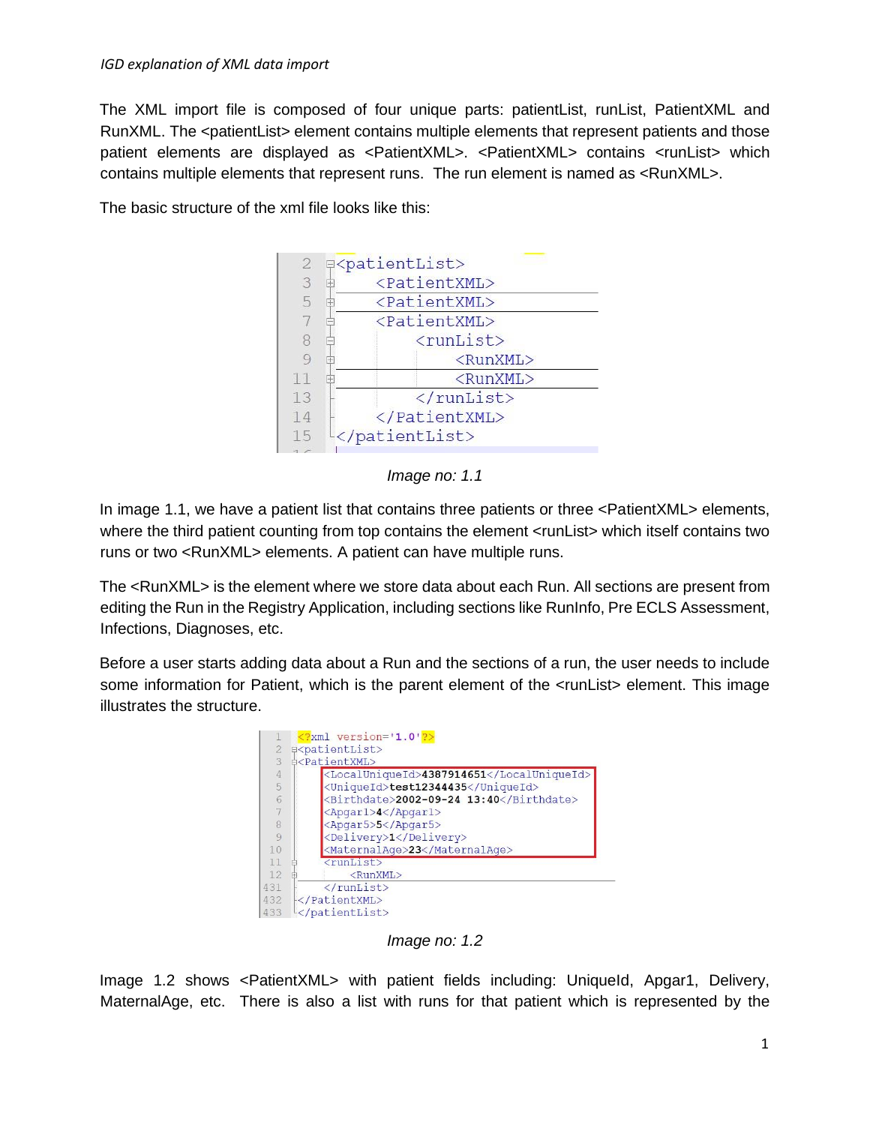The XML import file is composed of four unique parts: patientList, runList, PatientXML and RunXML. The <patientList> element contains multiple elements that represent patients and those patient elements are displayed as <PatientXML>. <PatientXML> contains <runList> which contains multiple elements that represent runs. The run element is named as <RunXML>.

The basic structure of the xml file looks like this:





In image 1.1, we have a patient list that contains three patients or three <PatientXML> elements, where the third patient counting from top contains the element <runList> which itself contains two runs or two <RunXML> elements. A patient can have multiple runs.

The <RunXML> is the element where we store data about each Run. All sections are present from editing the Run in the Registry Application, including sections like RunInfo, Pre ECLS Assessment, Infections, Diagnoses, etc.

Before a user starts adding data about a Run and the sections of a run, the user needs to include some information for Patient, which is the parent element of the  $\alpha$ -runList > element. This image illustrates the structure.



*Image no: 1.2* 

Image 1.2 shows <PatientXML> with patient fields including: UniqueId, Apgar1, Delivery, MaternalAge, etc. There is also a list with runs for that patient which is represented by the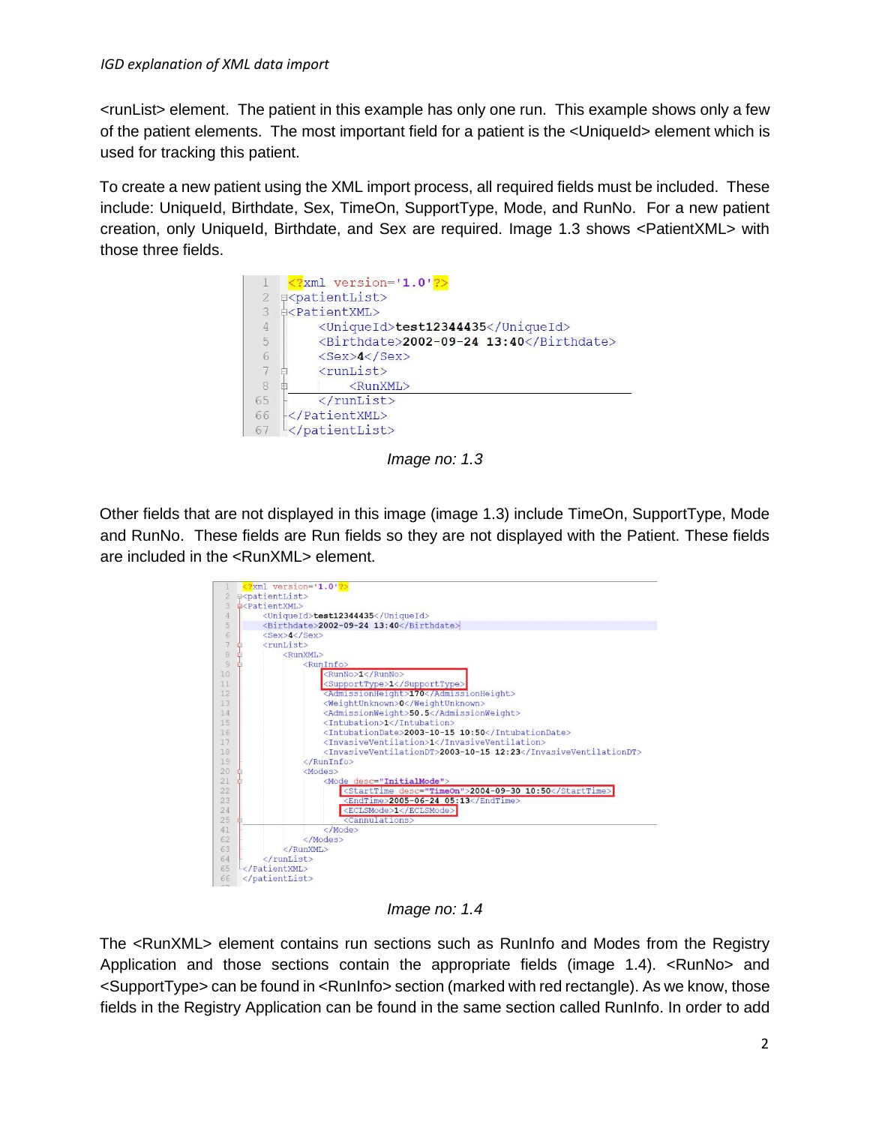<runList> element. The patient in this example has only one run. This example shows only a few of the patient elements. The most important field for a patient is the <UniqueId> element which is used for tracking this patient.

To create a new patient using the XML import process, all required fields must be included. These include: UniqueId, Birthdate, Sex, TimeOn, SupportType, Mode, and RunNo. For a new patient creation, only UniqueId, Birthdate, and Sex are required. Image 1.3 shows <PatientXML> with those three fields.

|                | $\langle ? \rangle$ xml version='1.0'?> |
|----------------|-----------------------------------------|
| $\mathbf{2}$   | <b>E</b> <patientlist></patientlist>    |
| 3              | d <patientxml></patientxml>             |
| $\overline{4}$ | <uniqueid>test12344435</uniqueid>       |
| 5              | <birthdate>2002-09-24 13:40</birthdate> |
| 6              | $<$ Sex>4 $<$ /Sex>                     |
|                | $<$ runList $>$                         |
| 8              | <runxml></runxml>                       |
| 65             | $\langle$ /runList>                     |
| 66             |                                         |
| 67             |                                         |

*Image no: 1.3* 

Other fields that are not displayed in this image (image 1.3) include TimeOn, SupportType, Mode and RunNo. These fields are Run fields so they are not displayed with the Patient. These fields are included in the <RunXML> element.

|                 | $\frac{2}{2}$ xml version='1.0'?><br><b>E</b> <patientlist></patientlist> |
|-----------------|---------------------------------------------------------------------------|
| 3               | d <patientxml></patientxml>                                               |
| 4               | <uniqueid>test12344435</uniqueid>                                         |
| 5               | <birthdate>2002-09-24 13:40</birthdate>                                   |
| 6               | $<$ Sex>4 $<$ /Sex>                                                       |
|                 | $<$ runList>                                                              |
| 8               | <runxml></runxml>                                                         |
| $\overline{9}$  | <runinfo></runinfo>                                                       |
| 10              | <runno>1</runno>                                                          |
| 11              | <supporttype>1</supporttype>                                              |
| 12              | <admissionheight>170</admissionheight>                                    |
| 13              | <weightunknown>0</weightunknown>                                          |
| 14              | <admissionweight>50.5</admissionweight>                                   |
| 15              | <intubation>1</intubation>                                                |
| 16              | <intubationdate>2003-10-15 10:50</intubationdate>                         |
| 17              | <invasiveventilation>1</invasiveventilation>                              |
| 18              | <invasiveventilationdt>2003-10-15 12:23</invasiveventilationdt>           |
| 19              |                                                                           |
| 20 <sup>°</sup> | $<$ Modes $>$                                                             |
| 21              | <mode desc="InitialMode"></mode>                                          |
| $22^{2}$        | <starttime desc="TimeOn">2004-09-30 10:50</starttime>                     |
| 23              | $\leq$ EndTime>2005-06-24 05:13 $\leq$ /EndTime>                          |
| 24              | <eclsmode>1</eclsmode>                                                    |
| 25              | <cannulations></cannulations>                                             |
| 41              |                                                                           |
| 62              |                                                                           |
| 63              |                                                                           |
| 64              | $\langle$ /runList>                                                       |
| 65              | $\langle$ /PatientXML>                                                    |
|                 |                                                                           |

*Image no: 1.4* 

The <RunXML> element contains run sections such as RunInfo and Modes from the Registry Application and those sections contain the appropriate fields (image 1.4). <RunNo> and <SupportType> can be found in <RunInfo> section (marked with red rectangle). As we know, those fields in the Registry Application can be found in the same section called RunInfo. In order to add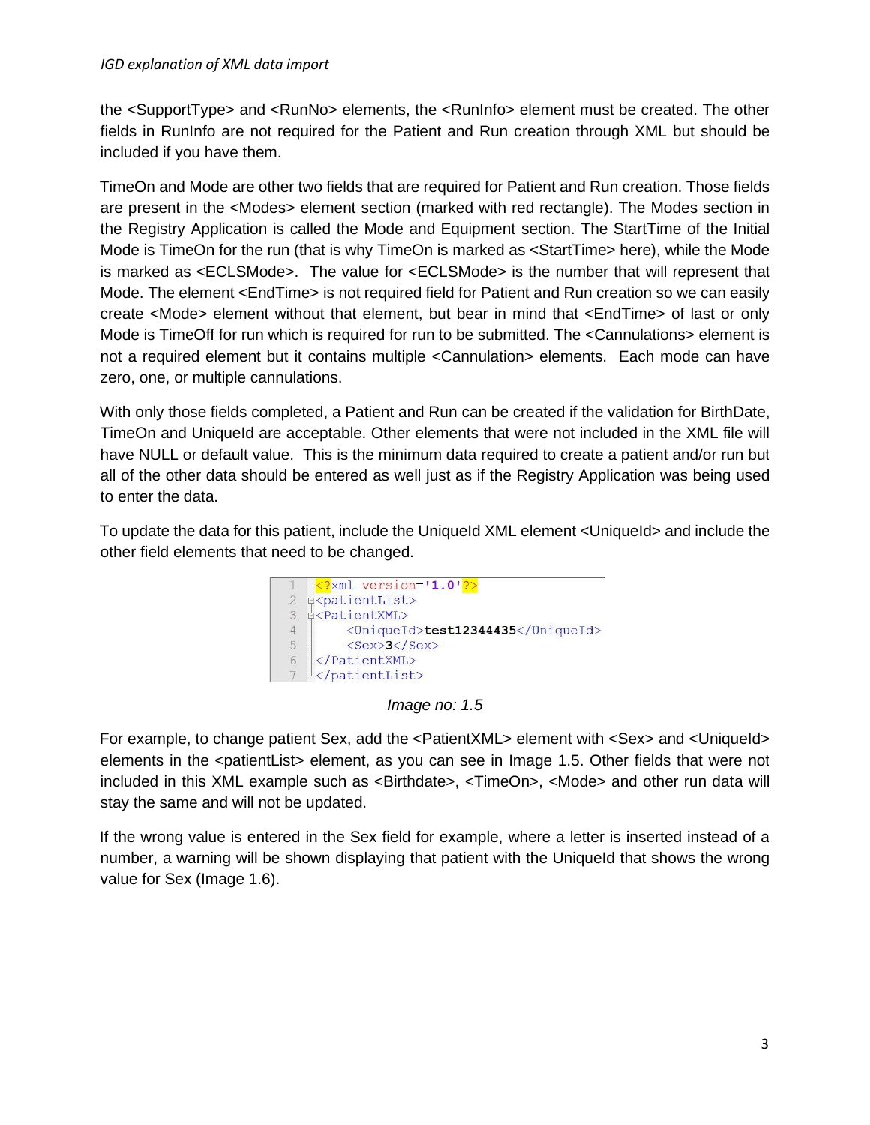#### *IGD explanation of XML data import*

the <SupportType> and <RunNo> elements, the <RunInfo> element must be created. The other fields in RunInfo are not required for the Patient and Run creation through XML but should be included if you have them.

TimeOn and Mode are other two fields that are required for Patient and Run creation. Those fields are present in the <Modes> element section (marked with red rectangle). The Modes section in the Registry Application is called the Mode and Equipment section. The StartTime of the Initial Mode is TimeOn for the run (that is why TimeOn is marked as <StartTime> here), while the Mode is marked as <ECLSMode>. The value for <ECLSMode> is the number that will represent that Mode. The element <EndTime> is not required field for Patient and Run creation so we can easily create <Mode> element without that element, but bear in mind that <EndTime> of last or only Mode is TimeOff for run which is required for run to be submitted. The <Cannulations> element is not a required element but it contains multiple <Cannulation> elements. Each mode can have zero, one, or multiple cannulations.

With only those fields completed, a Patient and Run can be created if the validation for BirthDate, TimeOn and UniqueId are acceptable. Other elements that were not included in the XML file will have NULL or default value. This is the minimum data required to create a patient and/or run but all of the other data should be entered as well just as if the Registry Application was being used to enter the data.

To update the data for this patient, include the UniqueId XML element <UniqueId> and include the other field elements that need to be changed.



*Image no: 1.5* 

For example, to change patient Sex, add the <PatientXML> element with <Sex> and <UniqueId> elements in the <patientList> element, as you can see in Image 1.5. Other fields that were not included in this XML example such as <Birthdate>, <TimeOn>, <Mode> and other run data will stay the same and will not be updated.

If the wrong value is entered in the Sex field for example, where a letter is inserted instead of a number, a warning will be shown displaying that patient with the Uniqueld that shows the wrong value for Sex (Image 1.6).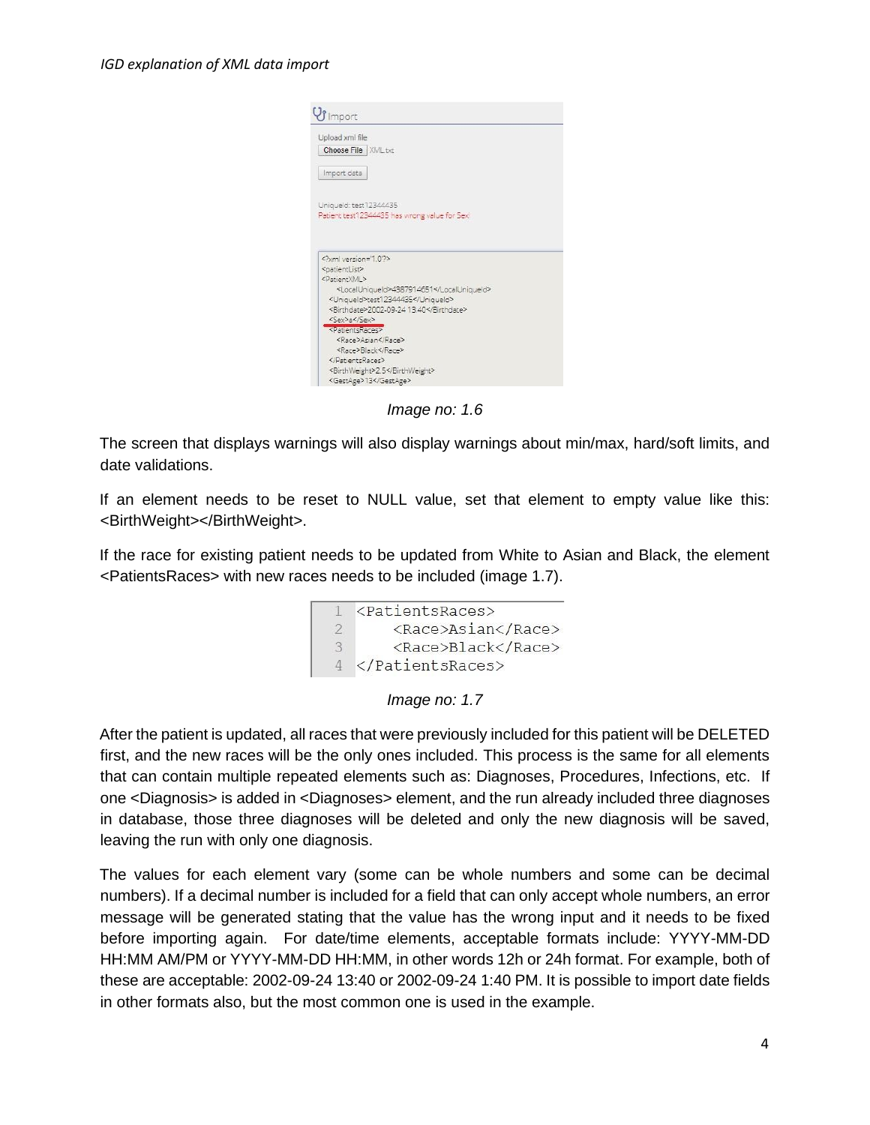

*Image no: 1.6* 

The screen that displays warnings will also display warnings about min/max, hard/soft limits, and date validations.

If an element needs to be reset to NULL value, set that element to empty value like this: <BirthWeight></BirthWeight>.

If the race for existing patient needs to be updated from White to Asian and Black, the element <PatientsRaces> with new races needs to be included (image 1.7).





After the patient is updated, all races that were previously included for this patient will be DELETED first, and the new races will be the only ones included. This process is the same for all elements that can contain multiple repeated elements such as: Diagnoses, Procedures, Infections, etc. If one <Diagnosis> is added in <Diagnoses> element, and the run already included three diagnoses in database, those three diagnoses will be deleted and only the new diagnosis will be saved, leaving the run with only one diagnosis.

The values for each element vary (some can be whole numbers and some can be decimal numbers). If a decimal number is included for a field that can only accept whole numbers, an error message will be generated stating that the value has the wrong input and it needs to be fixed before importing again. For date/time elements, acceptable formats include: YYYY-MM-DD HH:MM AM/PM or YYYY-MM-DD HH:MM, in other words 12h or 24h format. For example, both of these are acceptable: 2002-09-24 13:40 or 2002-09-24 1:40 PM. It is possible to import date fields in other formats also, but the most common one is used in the example.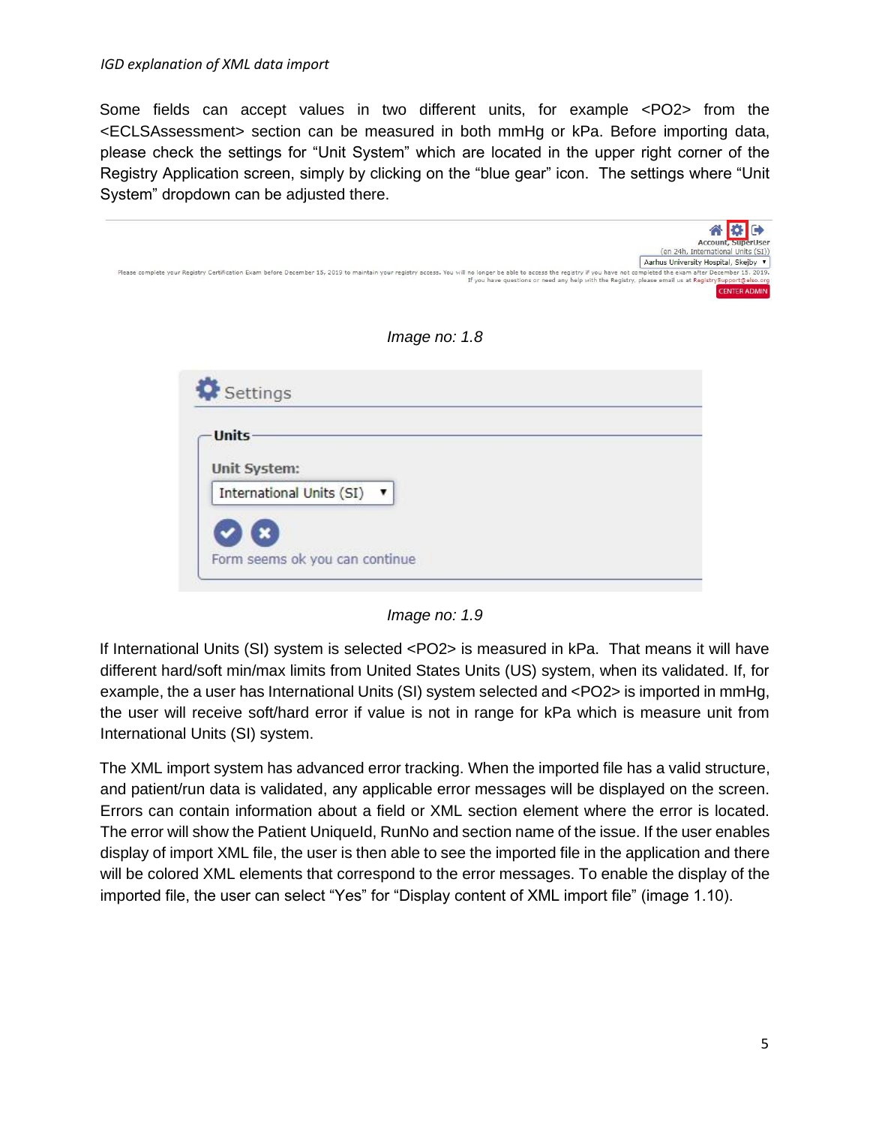Some fields can accept values in two different units, for example <PO2> from the <ECLSAssessment> section can be measured in both mmHg or kPa. Before importing data, please check the settings for "Unit System" which are located in the upper right corner of the Registry Application screen, simply by clicking on the "blue gear" icon. The settings where "Unit System" dropdown can be adjusted there.

| Please complete your Registry Certification Exam before December 15, 2019 to maintain your registry access. You will no longer be able to access the registry if you have not completed the exam after December 15, 2019. | <b>Account, SuperUser</b><br>(en 24h, International Units (SI))<br>Aarhus University Hospital, Skejby ▼ |
|---------------------------------------------------------------------------------------------------------------------------------------------------------------------------------------------------------------------------|---------------------------------------------------------------------------------------------------------|
| If you have questions or need any help with the Registry, please email us at RegistrySupport@elso.org                                                                                                                     | <b>CENTER ADMIN</b>                                                                                     |
| Image no: $1.8$                                                                                                                                                                                                           |                                                                                                         |
| Settings                                                                                                                                                                                                                  |                                                                                                         |
| <b>Units</b>                                                                                                                                                                                                              |                                                                                                         |
| Unit System:                                                                                                                                                                                                              |                                                                                                         |
| International Units (SI)                                                                                                                                                                                                  |                                                                                                         |
| Form seems ok you can continue                                                                                                                                                                                            |                                                                                                         |

*Image no: 1.9* 

If International Units (SI) system is selected <PO2> is measured in kPa. That means it will have different hard/soft min/max limits from United States Units (US) system, when its validated. If, for example, the a user has International Units (SI) system selected and <PO2> is imported in mmHg, the user will receive soft/hard error if value is not in range for kPa which is measure unit from International Units (SI) system.

The XML import system has advanced error tracking. When the imported file has a valid structure, and patient/run data is validated, any applicable error messages will be displayed on the screen. Errors can contain information about a field or XML section element where the error is located. The error will show the Patient UniqueId, RunNo and section name of the issue. If the user enables display of import XML file, the user is then able to see the imported file in the application and there will be colored XML elements that correspond to the error messages. To enable the display of the imported file, the user can select "Yes" for "Display content of XML import file" (image 1.10).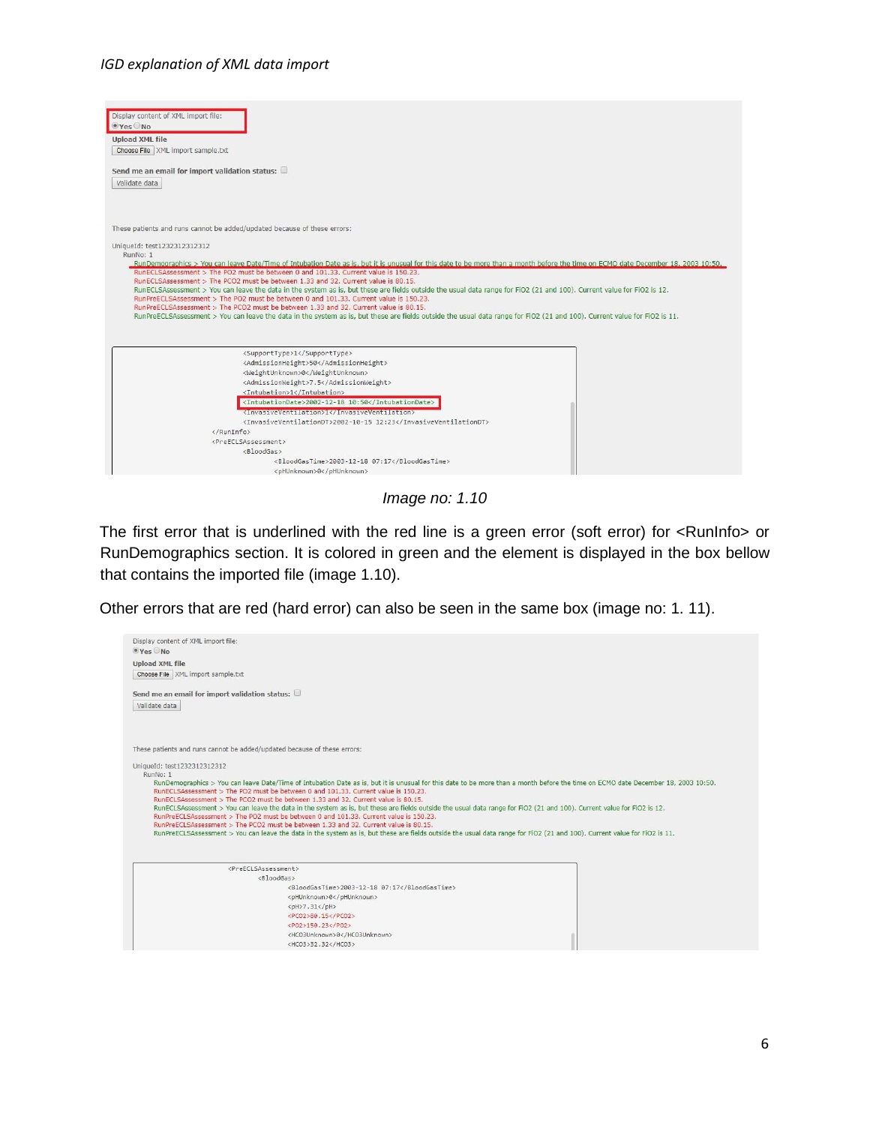#### *IGD explanation of XML data import*



*Image no: 1.10* 

The first error that is underlined with the red line is a green error (soft error) for <RunInfo> or RunDemographics section. It is colored in green and the element is displayed in the box bellow that contains the imported file (image 1.10).

Other errors that are red (hard error) can also be seen in the same box (image no: 1. 11).

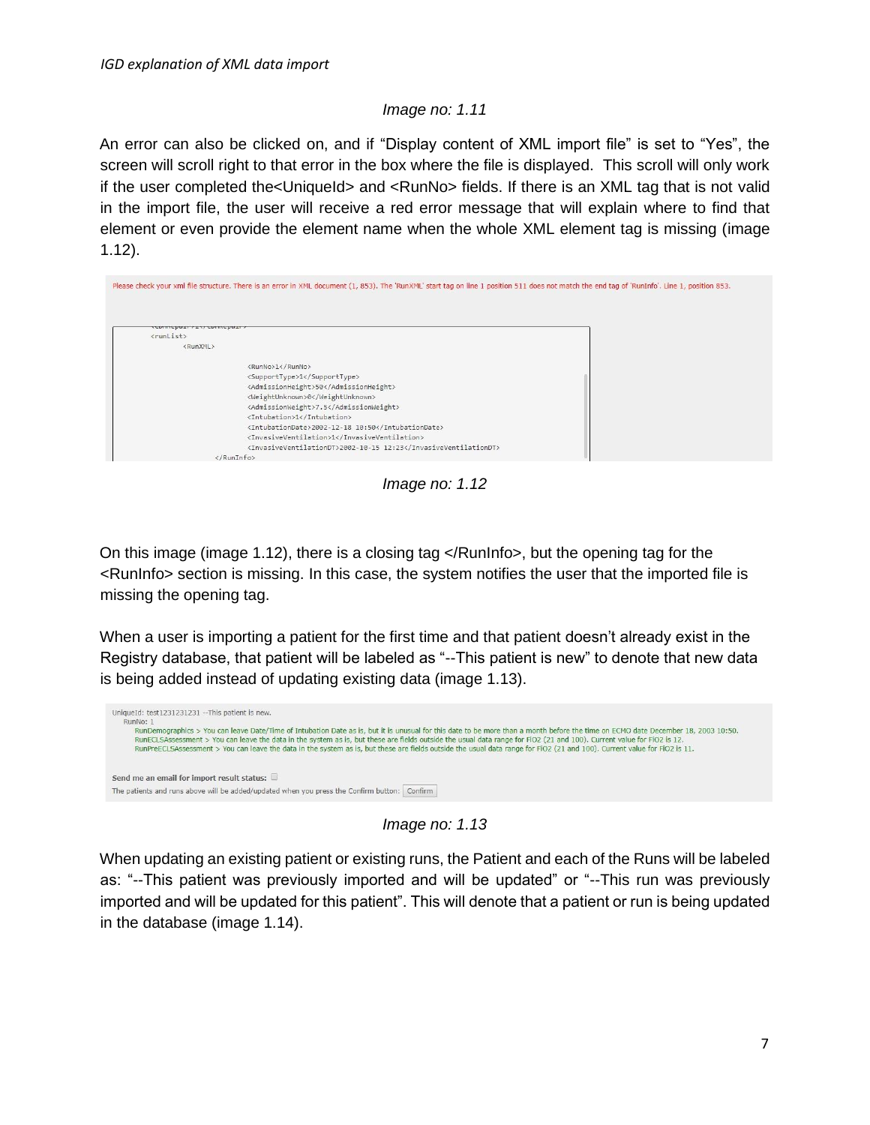#### *Image no: 1.11*

An error can also be clicked on, and if "Display content of XML import file" is set to "Yes", the screen will scroll right to that error in the box where the file is displayed. This scroll will only work if the user completed the<UniqueId> and <RunNo> fields. If there is an XML tag that is not valid in the import file, the user will receive a red error message that will explain where to find that element or even provide the element name when the whole XML element tag is missing (image 1.12).

|                         | Please check your xml file structure. There is an error in XML document (1, 853). The 'RunXML' start tag on line 1 position 511 does not match the end tag of 'RunInfo'. Line 1, position 853.                                                                                                                                                                                                       |  |
|-------------------------|------------------------------------------------------------------------------------------------------------------------------------------------------------------------------------------------------------------------------------------------------------------------------------------------------------------------------------------------------------------------------------------------------|--|
| counchast victorinchast |                                                                                                                                                                                                                                                                                                                                                                                                      |  |
| <runlist></runlist>     |                                                                                                                                                                                                                                                                                                                                                                                                      |  |
| <runxml></runxml>       |                                                                                                                                                                                                                                                                                                                                                                                                      |  |
|                         | <runno>1</runno><br><supporttype>1</supporttype><br><admissionheight>50</admissionheight><br><weightunknown>0</weightunknown><br><admissionweight>7.5</admissionweight><br><intubation>1</intubation><br><intubationdate>2002-12-18 10:50</intubationdate><br><invasiveventilation>1</invasiveventilation><br><invasiveventilationdt>2002-10-15 12:23</invasiveventilationdt><br>$\langle$ /RunInfo> |  |

*Image no: 1.12* 

On this image (image 1.12), there is a closing tag </RunInfo>, but the opening tag for the <RunInfo> section is missing. In this case, the system notifies the user that the imported file is missing the opening tag.

When a user is importing a patient for the first time and that patient doesn't already exist in the Registry database, that patient will be labeled as "--This patient is new" to denote that new data is being added instead of updating existing data (image 1.13).

| UniqueId: test1231231231 -- This patient is new.<br>RunNo: 1                                                                                                                                                                                                                                                                                                                                                                                                                                                                             |  |
|------------------------------------------------------------------------------------------------------------------------------------------------------------------------------------------------------------------------------------------------------------------------------------------------------------------------------------------------------------------------------------------------------------------------------------------------------------------------------------------------------------------------------------------|--|
| RunDemographics > You can leave Date/Time of Intubation Date as is, but it is unusual for this date to be more than a month before the time on ECMO date December 18, 2003 10:50.<br>RunECLSAssessment > You can leave the data in the system as is, but these are fields outside the usual data range for FiO2 (21 and 100). Current value for FiO2 is 12.<br>RunPreECLSAssessment > You can leave the data in the system as is, but these are fields outside the usual data range for FiO2 (21 and 100). Current value for FiO2 is 11. |  |
| Send me an email for import result status:<br>The patients and runs above will be added/updated when you press the Confirm button: Confirm                                                                                                                                                                                                                                                                                                                                                                                               |  |

*Image no: 1.13* 

When updating an existing patient or existing runs, the Patient and each of the Runs will be labeled as: "--This patient was previously imported and will be updated" or "--This run was previously imported and will be updated for this patient". This will denote that a patient or run is being updated in the database (image 1.14).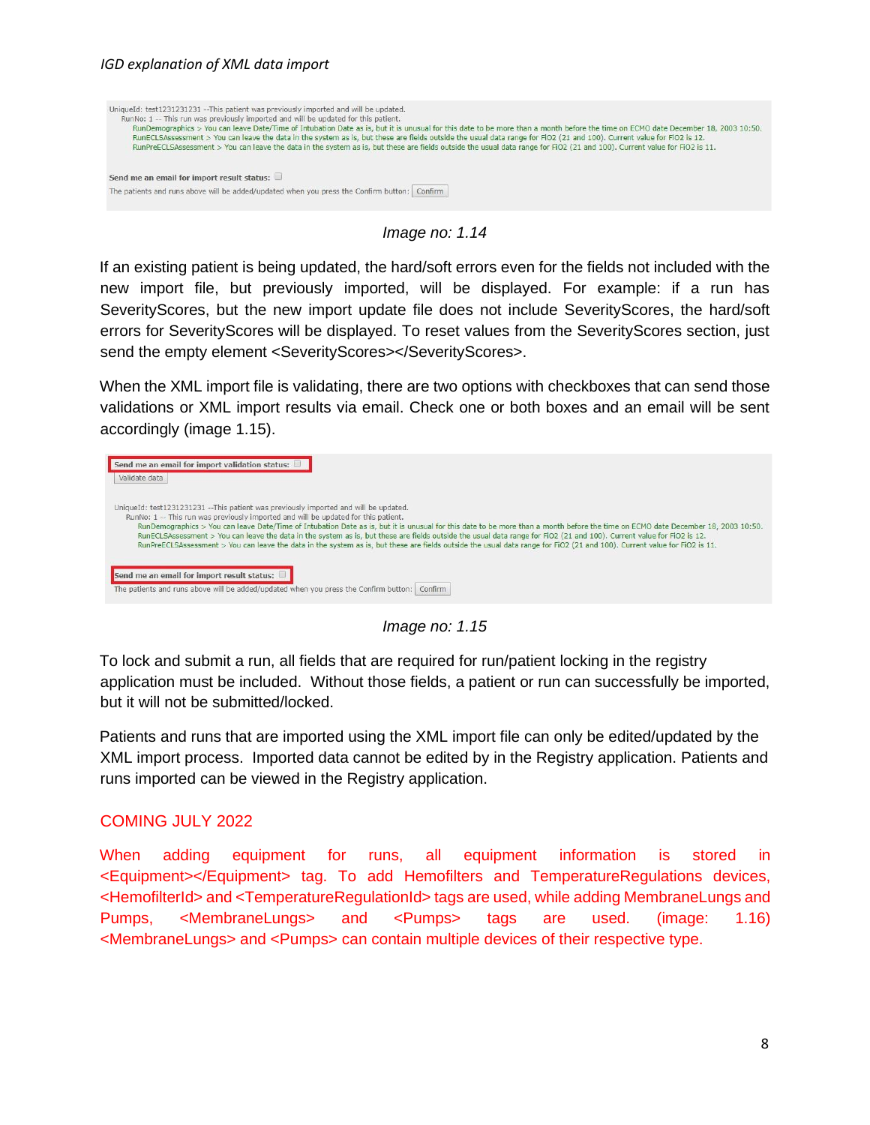

*Image no: 1.14* 

If an existing patient is being updated, the hard/soft errors even for the fields not included with the new import file, but previously imported, will be displayed. For example: if a run has SeverityScores, but the new import update file does not include SeverityScores, the hard/soft errors for SeverityScores will be displayed. To reset values from the SeverityScores section, just send the empty element <SeverityScores></SeverityScores>.

When the XML import file is validating, there are two options with checkboxes that can send those validations or XML import results via email. Check one or both boxes and an email will be sent accordingly (image 1.15).

| Send me an email for import validation status:<br>Validate data                                                                                                                                                                                                                                                                                                                                                                                                                                                                                                                                                                                                                                                        |
|------------------------------------------------------------------------------------------------------------------------------------------------------------------------------------------------------------------------------------------------------------------------------------------------------------------------------------------------------------------------------------------------------------------------------------------------------------------------------------------------------------------------------------------------------------------------------------------------------------------------------------------------------------------------------------------------------------------------|
| UniqueId: test1231231231 --This patient was previously imported and will be updated.<br>RunNo: 1 -- This run was previously imported and will be updated for this patient.<br>RunDemographics > You can leave Date/Time of Intubation Date as is, but it is unusual for this date to be more than a month before the time on ECMO date December 18, 2003 10:50.<br>RunECLSAssessment > You can leave the data in the system as is, but these are fields outside the usual data range for FiO2 (21 and 100). Current value for FiO2 is 12.<br>RunPreECLSAssessment > You can leave the data in the system as is, but these are fields outside the usual data range for FiO2 (21 and 100). Current value for FiO2 is 11. |
| Send me an email for import result status:<br>The patients and runs above will be added/updated when you press the Confirm button:<br>Confirm                                                                                                                                                                                                                                                                                                                                                                                                                                                                                                                                                                          |

*Image no: 1.15* 

To lock and submit a run, all fields that are required for run/patient locking in the registry application must be included. Without those fields, a patient or run can successfully be imported, but it will not be submitted/locked.

Patients and runs that are imported using the XML import file can only be edited/updated by the XML import process. Imported data cannot be edited by in the Registry application. Patients and runs imported can be viewed in the Registry application.

# COMING JULY 2022

When adding equipment for runs, all equipment information is stored in <Equipment></Equipment> tag. To add Hemofilters and TemperatureRegulations devices, <HemofilterId> and <TemperatureRegulationId> tags are used, while adding MembraneLungs and Pumps, <MembraneLungs> and <Pumps> tags are used. (image: 1.16) <MembraneLungs> and <Pumps> can contain multiple devices of their respective type.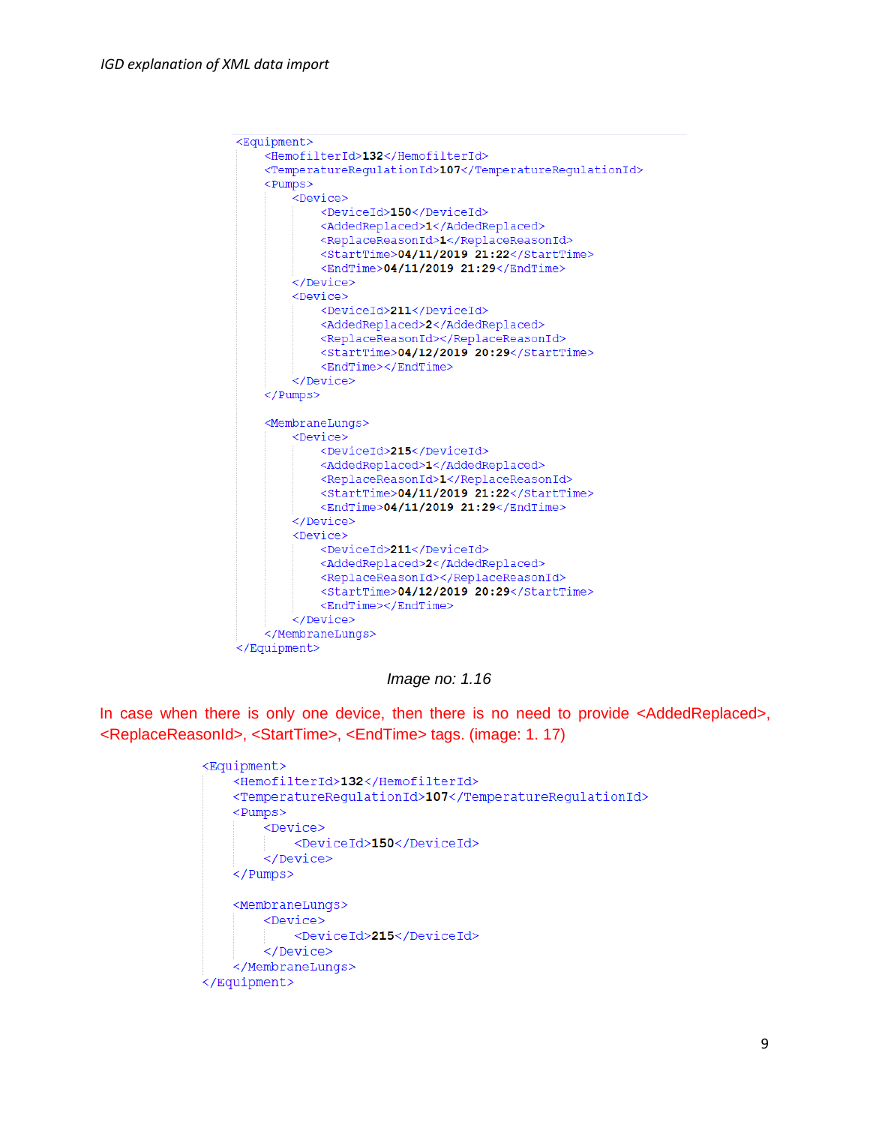```
<Equipment>
   <HemofilterId>132</HemofilterId>
   <TemperatureRequlationId>107</TemperatureRequlationId>
   <Pumps>
       <Device>
           <DeviceId>150</DeviceId>
            <AddedReplaced>1</AddedReplaced>
            <ReplaceReasonId>1</ReplaceReasonId>
            <StartTime>04/11/2019 21:22</StartTime>
           <EndTime>04/11/2019 21:29</EndTime>
        </Device>
        <Device>
            <DeviceId>211</DeviceId>
            <AddedReplaced>2</AddedReplaced>
            <ReplaceReasonId></ReplaceReasonId>
            <StartTime>04/12/2019 20:29</StartTime>
            <EndTime></EndTime>
        </Device>
   </Pumps>
   <MembraneLungs>
       <Device>
           <DeviceId>215</DeviceId>
            <AddedReplaced>1</AddedReplaced>
           <ReplaceReasonId>1</ReplaceReasonId>
           <StartTime>04/11/2019 21:22</StartTime>
           <EndTime>04/11/2019 21:29</EndTime>
        </Device>
        <Device>
            <DeviceId>211</DeviceId>
            <AddedReplaced>2</AddedReplaced>
            <ReplaceReasonId></ReplaceReasonId>
           <StartTime>04/12/2019 20:29</StartTime>
           <EndTime></EndTime>
        </Device>
   </MembraneLungs>
</Equipment>
```
*Image no: 1.16* 

In case when there is only one device, then there is no need to provide <AddedReplaced>, <ReplaceReasonId>, <StartTime>, <EndTime> tags. (image: 1. 17)

```
<Equipment>
    <HemofilterId>132</HemofilterId>
    <TemperatureRequlationId>107</TemperatureRequlationId>
    <Pumps><Device>
           <DeviceId>150</DeviceId>
        </Device>
    </Pumps>
    <MembraneLungs>
        <Device>
            <DeviceId>215</DeviceId>
        </Device>
    </MembraneLungs>
</Equipment>
```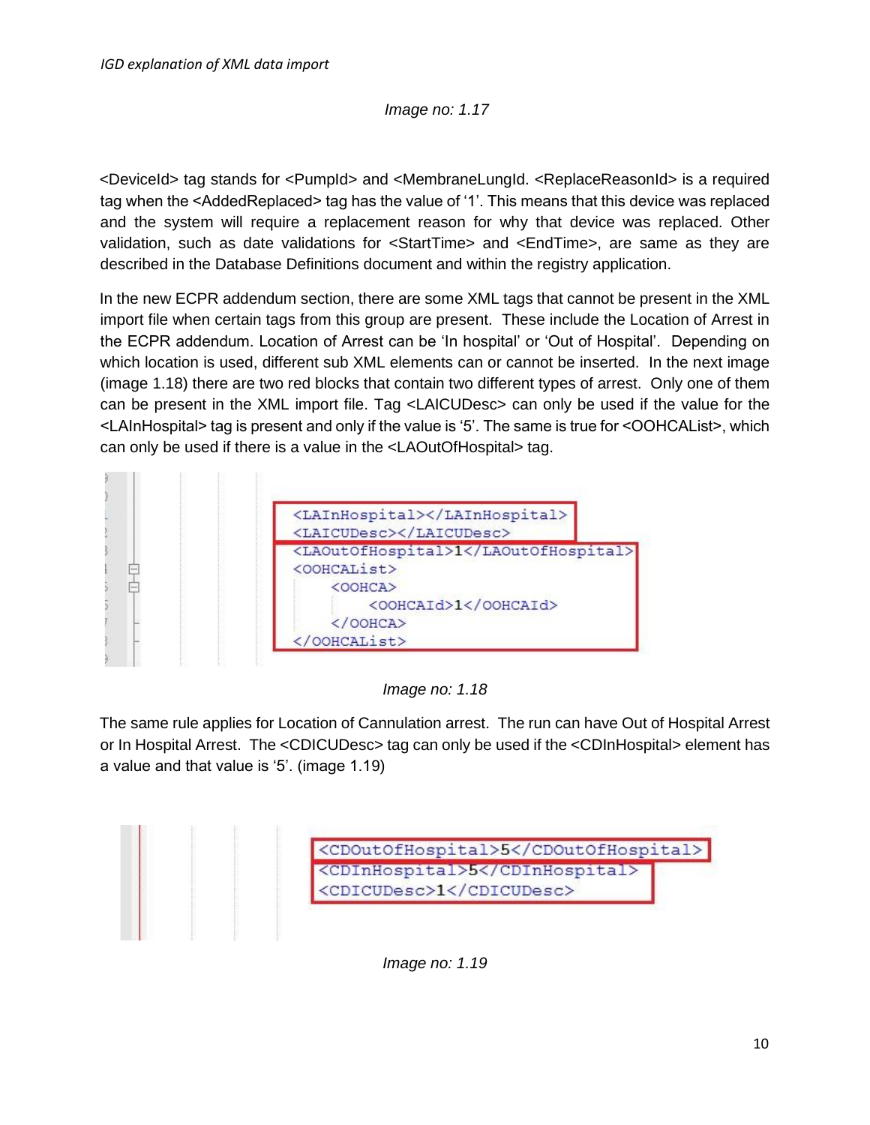## *Image no: 1.17*

<DeviceId> tag stands for <PumpId> and <MembraneLungId. <ReplaceReasonId> is a required tag when the <AddedReplaced> tag has the value of '1'. This means that this device was replaced and the system will require a replacement reason for why that device was replaced. Other validation, such as date validations for <StartTime> and <EndTime>, are same as they are described in the Database Definitions document and within the registry application.

In the new ECPR addendum section, there are some XML tags that cannot be present in the XML import file when certain tags from this group are present. These include the Location of Arrest in the ECPR addendum. Location of Arrest can be 'In hospital' or 'Out of Hospital'. Depending on which location is used, different sub XML elements can or cannot be inserted. In the next image (image 1.18) there are two red blocks that contain two different types of arrest. Only one of them can be present in the XML import file. Tag <LAICUDesc> can only be used if the value for the <LAInHospital> tag is present and only if the value is '5'. The same is true for <OOHCAList>, which can only be used if there is a value in the <LAOutOfHospital> tag.



*Image no: 1.18*

The same rule applies for Location of Cannulation arrest. The run can have Out of Hospital Arrest or In Hospital Arrest. The <CDICUDesc> tag can only be used if the <CDInHospital> element has a value and that value is '5'. (image 1.19)



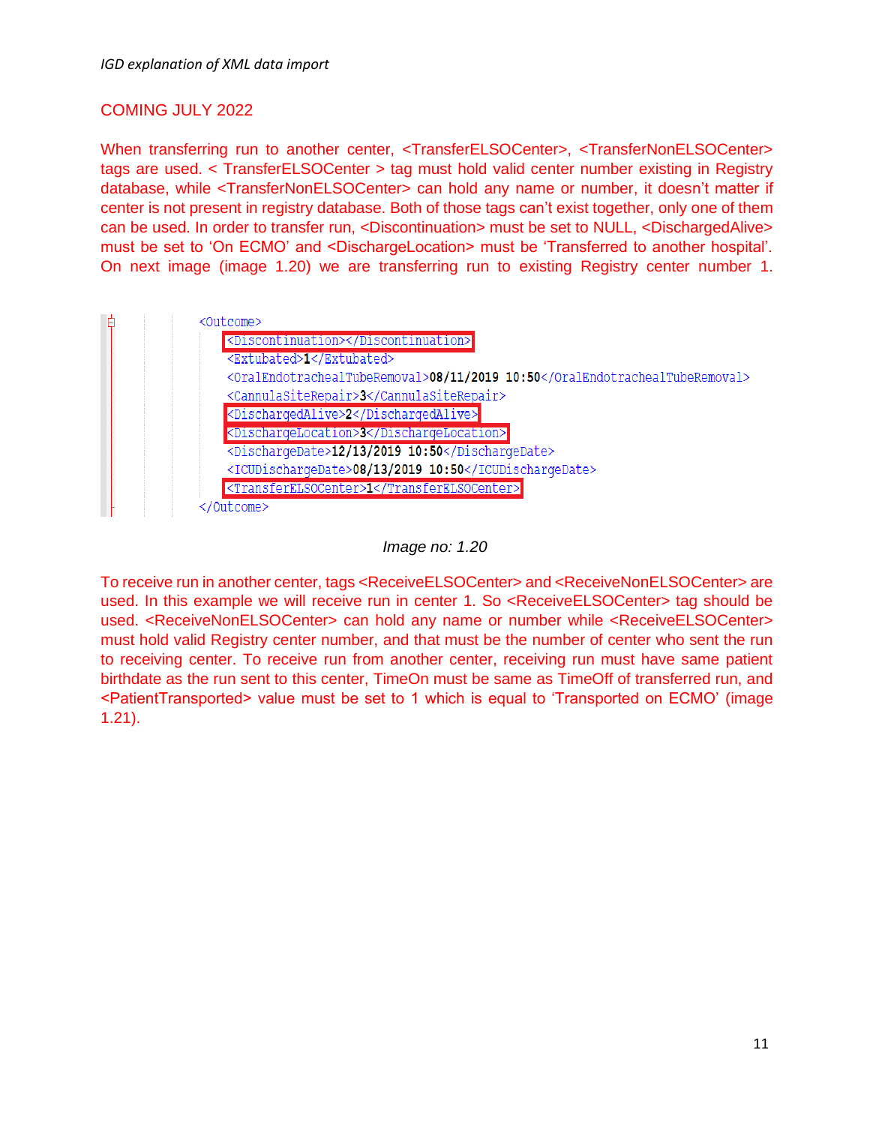### COMING JULY 2022

When transferring run to another center, <TransferELSOCenter>, <TransferNonELSOCenter> tags are used. < TransferELSOCenter > tag must hold valid center number existing in Registry database, while <TransferNonELSOCenter> can hold any name or number, it doesn't matter if center is not present in registry database. Both of those tags can't exist together, only one of them can be used. In order to transfer run, <Discontinuation> must be set to NULL, <DischargedAlive> must be set to 'On ECMO' and <DischargeLocation> must be 'Transferred to another hospital'. On next image (image 1.20) we are transferring run to existing Registry center number 1.

| Ė | <outcome></outcome>                                                         |
|---|-----------------------------------------------------------------------------|
|   | <discontinuation></discontinuation>                                         |
|   | <extubated>1</extubated>                                                    |
|   | <oralendotrachealtuberemoval>08/11/2019 10:50</oralendotrachealtuberemoval> |
|   | <cannulasiterepair>3</cannulasiterepair>                                    |
|   | <dischargedalive>2</dischargedalive>                                        |
|   | <dischargelocation>3</dischargelocation>                                    |
|   | <dischargedate>12/13/2019 10:50</dischargedate>                             |
|   | <icudischargedate>08/13/2019 10:50</icudischargedate>                       |
|   | <transferelsocenter>1</transferelsocenter>                                  |
|   | 'Outcome>                                                                   |



To receive run in another center, tags <ReceiveELSOCenter> and <ReceiveNonELSOCenter> are used. In this example we will receive run in center 1. So <ReceiveELSOCenter> tag should be used. <ReceiveNonELSOCenter> can hold any name or number while <ReceiveELSOCenter> must hold valid Registry center number, and that must be the number of center who sent the run to receiving center. To receive run from another center, receiving run must have same patient birthdate as the run sent to this center, TimeOn must be same as TimeOff of transferred run, and <PatientTransported> value must be set to 1 which is equal to 'Transported on ECMO' (image 1.21).